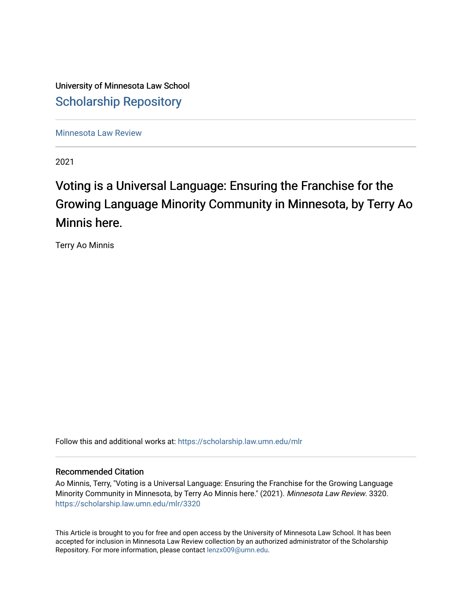University of Minnesota Law School [Scholarship Repository](https://scholarship.law.umn.edu/) 

[Minnesota Law Review](https://scholarship.law.umn.edu/mlr) 

2021

# Voting is a Universal Language: Ensuring the Franchise for the Growing Language Minority Community in Minnesota, by Terry Ao Minnis here.

Terry Ao Minnis

Follow this and additional works at: [https://scholarship.law.umn.edu/mlr](https://scholarship.law.umn.edu/mlr?utm_source=scholarship.law.umn.edu%2Fmlr%2F3320&utm_medium=PDF&utm_campaign=PDFCoverPages)

# Recommended Citation

Ao Minnis, Terry, "Voting is a Universal Language: Ensuring the Franchise for the Growing Language Minority Community in Minnesota, by Terry Ao Minnis here." (2021). Minnesota Law Review. 3320. [https://scholarship.law.umn.edu/mlr/3320](https://scholarship.law.umn.edu/mlr/3320?utm_source=scholarship.law.umn.edu%2Fmlr%2F3320&utm_medium=PDF&utm_campaign=PDFCoverPages)

This Article is brought to you for free and open access by the University of Minnesota Law School. It has been accepted for inclusion in Minnesota Law Review collection by an authorized administrator of the Scholarship Repository. For more information, please contact [lenzx009@umn.edu.](mailto:lenzx009@umn.edu)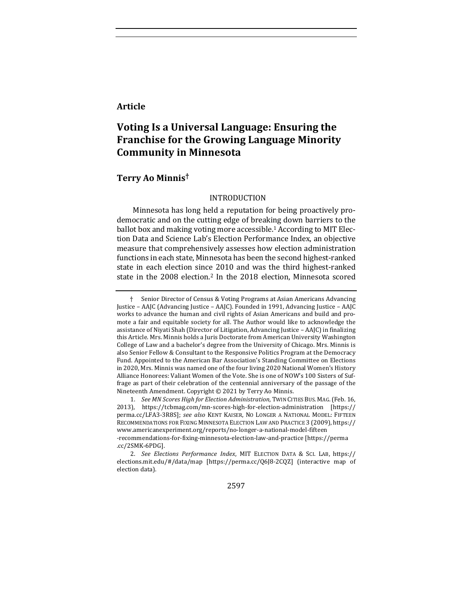# **Article**

# **Voting Is a Universal Language: Ensuring the Franchise for the Growing Language Minority Community in Minnesota**

# **Terry Ao Minnis†**

## INTRODUCTION

Minnesota has long held a reputation for being proactively prodemocratic and on the cutting edge of breaking down barriers to the ballot box and making voting more accessible.<sup>1</sup> According to MIT Election Data and Science Lab's Election Performance Index, an objective measure that comprehensively assesses how election administration functions in each state, Minnesota has been the second highest-ranked state in each election since 2010 and was the third highest-ranked state in the 2008 election.<sup>2</sup> In the 2018 election, Minnesota scored

2597

<sup>†</sup> Senior Director of Census & Voting Programs at Asian Americans Advancing Justice - AAJC (Advancing Justice - AAJC). Founded in 1991, Advancing Justice - AAJC works to advance the human and civil rights of Asian Americans and build and promote a fair and equitable society for all. The Author would like to acknowledge the assistance of Niyati Shah (Director of Litigation, Advancing Justice - AAJC) in finalizing this Article. Mrs. Minnis holds a Juris Doctorate from American University Washington College of Law and a bachelor's degree from the University of Chicago. Mrs. Minnis is also Senior Fellow & Consultant to the Responsive Politics Program at the Democracy Fund. Appointed to the American Bar Association's Standing Committee on Elections in 2020, Mrs. Minnis was named one of the four living 2020 National Women's History Alliance Honorees: Valiant Women of the Vote. She is one of NOW's 100 Sisters of Suffrage as part of their celebration of the centennial anniversary of the passage of the Nineteenth Amendment. Copyright  $©$  2021 by Terry Ao Minnis.

<sup>1.</sup> See MN Scores High for Election Administration, TWIN CITIES BUS. MAG. (Feb. 16, 2013), https://tcbmag.com/mn-scores-high-for-election-administration [https:// perma.cc/LFA3-3R8S]; see also KENT KAISER, NO LONGER A NATIONAL MODEL: FIFTEEN RECOMMENDATIONS FOR FIXING MINNESOTA ELECTION LAW AND PRACTICE 3 (2009), https:// www.americanexperiment.org/reports/no-longer-a-national-model-fifteen -recommendations-for-fixing-minnesota-election-law-and-practice [https://perma .cc/2SMK-6PDG].

<sup>2.</sup> See Elections Performance Index, MIT ELECTION DATA & SCI. LAB, https:// elections.mit.edu/#/data/map [https://perma.cc/Q6J8-2CQZ] (interactive map of election data).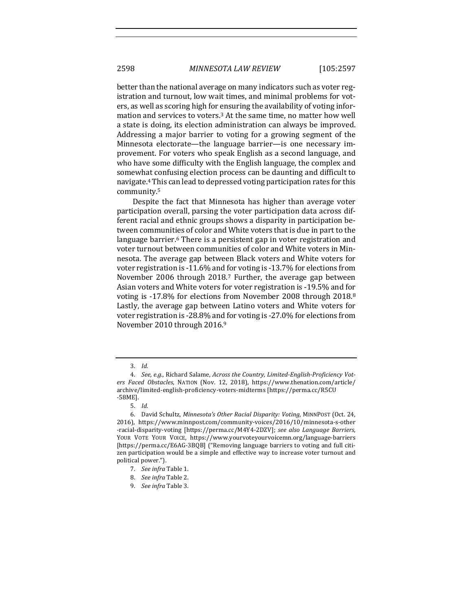better than the national average on many indicators such as voter registration and turnout, low wait times, and minimal problems for voters, as well as scoring high for ensuring the availability of voting information and services to voters.<sup>3</sup> At the same time, no matter how well a state is doing, its election administration can always be improved. Addressing a major barrier to voting for a growing segment of the Minnesota electorate—the language barrier—is one necessary improvement. For voters who speak English as a second language, and who have some difficulty with the English language, the complex and somewhat confusing election process can be daunting and difficult to navigate.<sup>4</sup> This can lead to depressed voting participation rates for this community.5

Despite the fact that Minnesota has higher than average voter participation overall, parsing the voter participation data across different racial and ethnic groups shows a disparity in participation between communities of color and White voters that is due in part to the language barrier.<sup>6</sup> There is a persistent gap in voter registration and voter turnout between communities of color and White voters in Minnesota. The average gap between Black voters and White voters for voter registration is -11.6% and for voting is -13.7% for elections from November 2006 through 2018.<sup>7</sup> Further, the average gap between Asian voters and White voters for voter registration is -19.5% and for voting is -17.8% for elections from November 2008 through 2018.<sup>8</sup> Lastly, the average gap between Latino voters and White voters for voter registration is -28.8% and for voting is -27.0% for elections from November 2010 through 2016.9

<sup>3.</sup> *Id.*

<sup>4.</sup> *See, e.g.*, Richard Salame, *Across the Country, Limited-English-Proficiency Voters Faced Obstacles*, NATION (Nov. 12, 2018), https://www.thenation.com/article/ archive/limited-english-proficiency-voters-midterms [https://perma.cc/R5CU -58ME].

<sup>5.</sup> *Id.*

<sup>6.</sup> David Schultz, Minnesota's Other Racial Disparity: Voting, MINNPOST (Oct. 24, 2016), https://www.minnpost.com/community-voices/2016/10/minnesota-s-other -racial-disparity-voting [https://perma.cc/M4Y4-2DZV]; see also Language Barriers, YOUR VOTE YOUR VOICE, https://www.yourvoteyourvoicemn.org/language-barriers [https://perma.cc/E6AG-3BQB] ("Removing language barriers to voting and full citizen participation would be a simple and effective way to increase voter turnout and political power.").

<sup>7.</sup> *See infra* Table 1.

<sup>8.</sup> *See infra* Table 2.

<sup>9.</sup> *See infra* Table 3.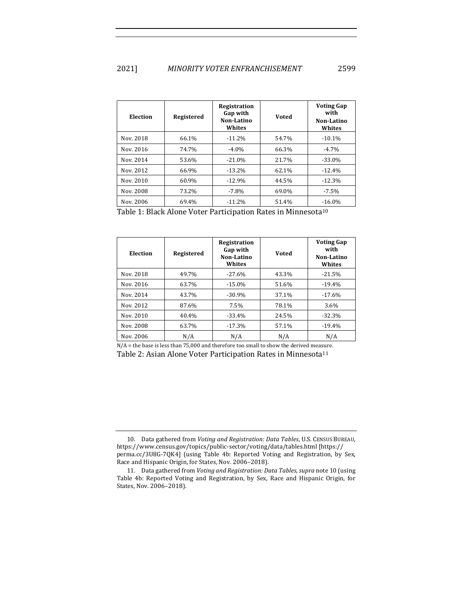| Election  | Registered | Registration<br>Gap with<br>Non-Latino<br>Whites | <b>Voted</b> | <b>Voting Gap</b><br>with<br>Non-Latino<br>Whites |
|-----------|------------|--------------------------------------------------|--------------|---------------------------------------------------|
| Nov. 2018 | 66.1%      | $-11.2%$                                         | 54.7%        | $-10.1%$                                          |
| Nov. 2016 | 74.7%      | $-4.0\%$                                         | 66.3%        | $-4.7\%$                                          |
| Nov. 2014 | 53.6%      | $-21.0%$                                         | 21.7%        | $-33.0\%$                                         |
| Nov. 2012 | 66.9%      | $-13.2%$                                         | 62.1%        | $-12.4%$                                          |
| Nov. 2010 | 60.9%      | $-12.9%$                                         | 44.5%        | $-12.3%$                                          |
| Nov. 2008 | 73.2%      | $-7.8\%$                                         | 69.0%        | $-7.5\%$                                          |
| Nov. 2006 | 69.4%      | $-11.2%$                                         | 51.4%        | $-16.0%$                                          |

Table 1: Black Alone Voter Participation Rates in Minnesota<sup>10</sup>

| Election  | Registered | <b>Registration</b><br>Gap with<br>Non-Latino<br>Whites | Voted | <b>Voting Gap</b><br>with<br>Non-Latino<br>Whites |
|-----------|------------|---------------------------------------------------------|-------|---------------------------------------------------|
| Nov. 2018 | 49.7%      | $-27.6%$                                                | 43.3% | $-21.5%$                                          |
| Nov. 2016 | 63.7%      | $-15.0%$                                                | 51.6% | $-19.4%$                                          |
| Nov. 2014 | 43.7%      | $-30.9\%$                                               | 37.1% | $-17.6\%$                                         |
| Nov. 2012 | 87.6%      | 7.5%                                                    | 78.1% | 3.6%                                              |
| Nov. 2010 | 40.4%      | $-33.4%$                                                | 24.5% | $-32.3%$                                          |
| Nov. 2008 | 63.7%      | $-17.3%$                                                | 57.1% | $-19.4%$                                          |
| Nov. 2006 | N/A        | N/A                                                     | N/A   | N/A                                               |

 $N/A$  = the base is less than 75,000 and therefore too small to show the derived measure. Table 2: Asian Alone Voter Participation Rates in Minnesota<sup>11</sup>

<sup>10.</sup> Data gathered from *Voting and Registration: Data Tables*, U.S. CENSUS BUREAU, https://www.census.gov/topics/public-sector/voting/data/tables.html [https:// perma.cc/3U8G-7QK4] (using Table 4b: Reported Voting and Registration, by Sex, Race and Hispanic Origin, for States, Nov. 2006-2018).

<sup>11.</sup> Data gathered from *Voting and Registration: Data Tables, supra* note 10 (using Table 4b: Reported Voting and Registration, by Sex, Race and Hispanic Origin, for States, Nov. 2006-2018).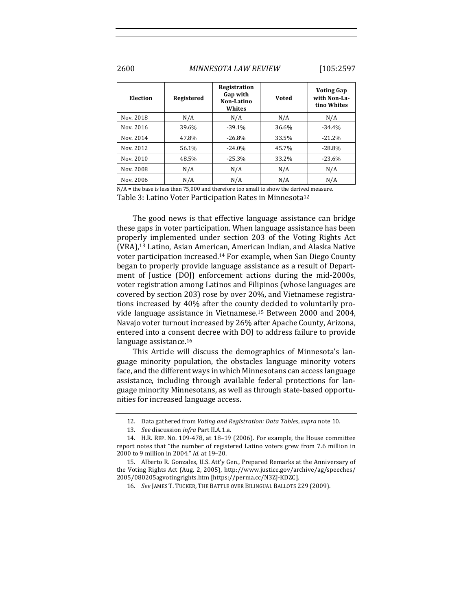# 2600 *MINNESOTA LAW REVIEW* [105:2597

| Election  | Registered | Registration<br>Gap with<br>Non-Latino<br>Whites | Voted | <b>Voting Gap</b><br>with Non-La-<br>tino Whites |
|-----------|------------|--------------------------------------------------|-------|--------------------------------------------------|
| Nov. 2018 | N/A        | N/A                                              | N/A   | N/A                                              |
| Nov. 2016 | 39.6%      | $-39.1%$                                         | 36.6% | $-34.4%$                                         |
| Nov. 2014 | 47.8%      | $-26.8%$                                         | 33.5% | $-21.2%$                                         |
| Nov. 2012 | 56.1%      | $-24.0%$                                         | 45.7% | $-28.8\%$                                        |
| Nov. 2010 | 48.5%      | $-25.3%$                                         | 33.2% | $-23.6%$                                         |
| Nov. 2008 | N/A        | N/A                                              | N/A   | N/A                                              |
| Nov. 2006 | N/A        | N/A                                              | N/A   | N/A                                              |

 $N/A$  = the base is less than 75,000 and therefore too small to show the derived measure. Table 3: Latino Voter Participation Rates in Minnesota<sup>12</sup>

The good news is that effective language assistance can bridge these gaps in voter participation. When language assistance has been properly implemented under section 203 of the Voting Rights Act (VRA),<sup>13</sup> Latino, Asian American, American Indian, and Alaska Native voter participation increased.<sup>14</sup> For example, when San Diego County began to properly provide language assistance as a result of Department of Justice (DOJ) enforcement actions during the mid-2000s, voter registration among Latinos and Filipinos (whose languages are covered by section 203) rose by over 20%, and Vietnamese registrations increased by 40% after the county decided to voluntarily provide language assistance in Vietnamese.<sup>15</sup> Between 2000 and 2004, Navajo voter turnout increased by 26% after Apache County, Arizona, entered into a consent decree with DOJ to address failure to provide language assistance.<sup>16</sup>

This Article will discuss the demographics of Minnesota's language minority population, the obstacles language minority voters face, and the different ways in which Minnesotans can access language assistance, including through available federal protections for language minority Minnesotans, as well as through state-based opportunities for increased language access.

<sup>12.</sup> Data gathered from *Voting and Registration: Data Tables, supra* note 10.

<sup>13.</sup> See discussion infra Part II.A.1.a.

<sup>14.</sup> H.R. REP. No. 109-478, at 18-19 (2006). For example, the House committee report notes that "the number of registered Latino voters grew from 7.6 million in 2000 to 9 million in 2004." *Id.* at 19–20.

<sup>15.</sup> Alberto R. Gonzales, U.S. Att'y Gen., Prepared Remarks at the Anniversary of the Voting Rights Act (Aug. 2, 2005), http://www.justice.gov/archive/ag/speeches/ 2005/080205agvotingrights.htm [https://perma.cc/N3ZJ-KDZC].

<sup>16.</sup> *See JAMES T. TUCKER, THE BATTLE OVER BILINGUAL BALLOTS 229 (2009).*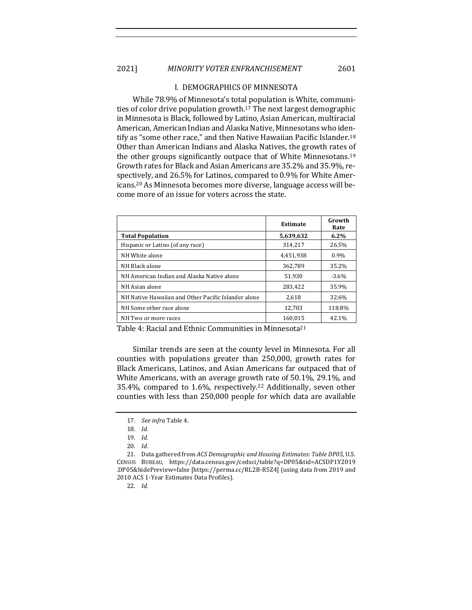#### I. DEMOGRAPHICS OF MINNESOTA

While 78.9% of Minnesota's total population is White, communities of color drive population growth.<sup>17</sup> The next largest demographic in Minnesota is Black, followed by Latino, Asian American, multiracial American, American Indian and Alaska Native, Minnesotans who identify as "some other race," and then Native Hawaiian Pacific Islander.<sup>18</sup> Other than American Indians and Alaska Natives, the growth rates of the other groups significantly outpace that of White Minnesotans.<sup>19</sup> Growth rates for Black and Asian Americans are 35.2% and 35.9%, respectively, and 26.5% for Latinos, compared to 0.9% for White Americans.<sup>20</sup> As Minnesota becomes more diverse, language access will become more of an issue for voters across the state.

|                                                     | <b>Estimate</b> | Growth<br>Rate |
|-----------------------------------------------------|-----------------|----------------|
| <b>Total Population</b>                             | 5,639,632       | $6.2\%$        |
| Hispanic or Latino (of any race)                    | 314,217         | 26.5%          |
| NH White alone                                      | 4.451.938       | 0.9%           |
| NH Black alone                                      | 362.789         | 35.2%          |
| NH American Indian and Alaska Native alone          | 51.930          | $-3.6\%$       |
| NH Asian alone                                      | 283,422         | 35.9%          |
| NH Native Hawaiian and Other Pacific Islander alone | 2,618           | 32.6%          |
| NH Some other race alone                            | 12.703          | 118.8%         |
| NH Two or more races                                | 160.015         | 42.1%          |

Table 4: Racial and Ethnic Communities in Minnesota<sup>21</sup>

Similar trends are seen at the county level in Minnesota. For all counties with populations greater than 250,000, growth rates for Black Americans, Latinos, and Asian Americans far outpaced that of White Americans, with an average growth rate of 50.1%, 29.1%, and 35.4%, compared to 1.6%, respectively.<sup>22</sup> Additionally, seven other counties with less than 250,000 people for which data are available

22. *Id.*

<sup>17.</sup> *See infra* Table 4.

<sup>18.</sup> *Id.*

<sup>19.</sup> *Id.*

<sup>20.</sup> *Id.*

<sup>21.</sup> Data gathered from *ACS Demographic and Housing Estimates: Table DP05*, U.S. CENSUS BUREAU, https://data.census.gov/cedsci/table?q=DP05&tid=ACSDP1Y2019 .DP05&hidePreview=false [https://perma.cc/RL2B-R5Z4] (using data from 2019 and 2010 ACS 1-Year Estimates Data Profiles).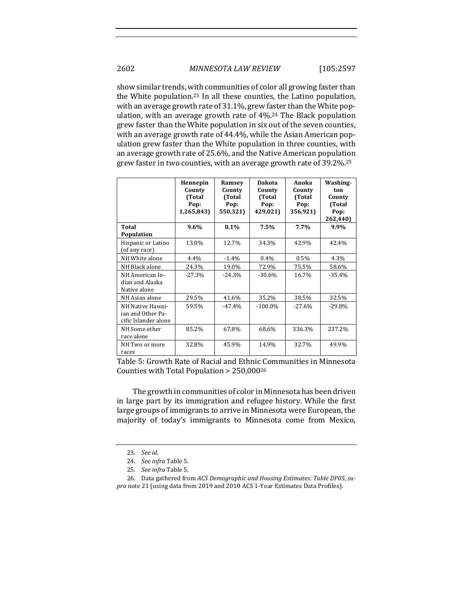show similar trends, with communities of color all growing faster than the White population.<sup>23</sup> In all these counties, the Latino population, with an average growth rate of 31.1%, grew faster than the White population, with an average growth rate of 4%.<sup>24</sup> The Black population grew faster than the White population in six out of the seven counties, with an average growth rate of 44.4%, while the Asian American population grew faster than the White population in three counties, with an average growth rate of 25.6%, and the Native American population grew faster in two counties, with an average growth rate of 39.2%. $^{25}$ 

|                                                               | Hennepin<br>County<br>(Total<br>Pop:<br>1,265,843) | Ramsey<br>County<br>(Total<br>Pop:<br>550,321) | Dakota<br>County<br>(Total<br>Pop:<br>429,021) | Anoka<br>County<br>(Total<br>Pop:<br>356,921) | Washing-<br>ton<br>County<br>(Total<br>Pop:<br>262,440) |
|---------------------------------------------------------------|----------------------------------------------------|------------------------------------------------|------------------------------------------------|-----------------------------------------------|---------------------------------------------------------|
| Total<br>Population                                           | $9.6\%$                                            | 8.1%                                           | 7.5%                                           | 7.7%                                          | 9.9%                                                    |
| Hispanic or Latino<br>(of any race)                           | 13.0%                                              | 12.7%                                          | 34.3%                                          | 42.9%                                         | 42.4%                                                   |
| NH White alone                                                | 4.4%                                               | $-1.4%$                                        | $0.4\%$                                        | 0.5%                                          | 4.3%                                                    |
| NH Black alone                                                | 24.3%                                              | 19.0%                                          | 72.9%                                          | 75.5%                                         | 58.6%                                                   |
| NH American In-<br>dian and Alaska<br>Native alone            | $-27.3%$                                           | $-24.3%$                                       | $-30.6%$                                       | 16.7%                                         | $-35.4%$                                                |
| NH Asian alone                                                | 29.5%                                              | 41.6%                                          | 35.2%                                          | 38.5%                                         | 32.5%                                                   |
| NH Native Hawai-<br>ian and Other Pa-<br>cific Islander alone | 59.5%                                              | $-47.4%$                                       | $-100.0\%$                                     | $-27.6%$                                      | $-29.8%$                                                |
| NH Some other<br>race alone                                   | 85.2%                                              | 67.8%                                          | 68.6%                                          | 336.3%                                        | 237.2%                                                  |
| NH Two or more<br>races                                       | 32.8%                                              | 45.9%                                          | 14.9%                                          | 32.7%                                         | 49.9%                                                   |

Table 5: Growth Rate of Racial and Ethnic Communities in Minnesota Counties with Total Population  $> 250,000^{26}$ 

The growth in communities of color in Minnesota has been driven in large part by its immigration and refugee history. While the first large groups of immigrants to arrive in Minnesota were European, the majority of today's immigrants to Minnesota come from Mexico,

<sup>23.</sup> *See id.*

<sup>24.</sup> *See infra* Table 5.

<sup>25.</sup> *See infra* Table 5.

<sup>26.</sup> Data gathered from *ACS Demographic and Housing Estimates: Table DP05*, supra note 21 (using data from 2019 and 2010 ACS 1-Year Estimates Data Profiles).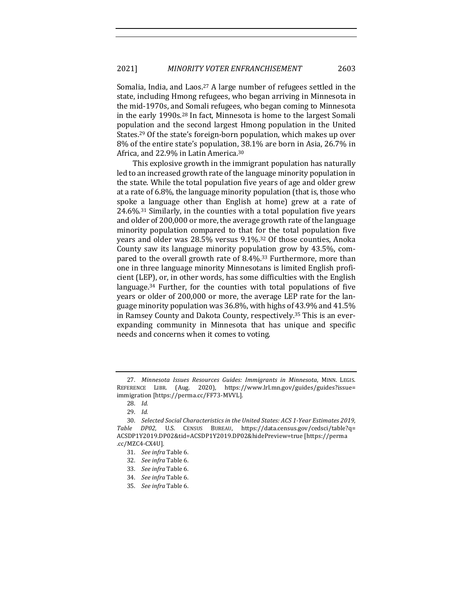Somalia, India, and Laos.<sup>27</sup> A large number of refugees settled in the state, including Hmong refugees, who began arriving in Minnesota in the mid-1970s, and Somali refugees, who began coming to Minnesota in the early 1990s.<sup>28</sup> In fact, Minnesota is home to the largest Somali population and the second largest Hmong population in the United States.<sup>29</sup> Of the state's foreign-born population, which makes up over 8% of the entire state's population, 38.1% are born in Asia, 26.7% in Africa, and 22.9% in Latin America.<sup>30</sup>

This explosive growth in the immigrant population has naturally led to an increased growth rate of the language minority population in the state. While the total population five years of age and older grew at a rate of 6.8%, the language minority population (that is, those who spoke a language other than English at home) grew at a rate of 24.6%.<sup>31</sup> Similarly, in the counties with a total population five years and older of 200,000 or more, the average growth rate of the language minority population compared to that for the total population five years and older was 28.5% versus 9.1%.<sup>32</sup> Of those counties, Anoka County saw its language minority population grow by 43.5%, compared to the overall growth rate of 8.4%.<sup>33</sup> Furthermore, more than one in three language minority Minnesotans is limited English proficient (LEP), or, in other words, has some difficulties with the English language. $34$  Further, for the counties with total populations of five years or older of 200,000 or more, the average LEP rate for the language minority population was  $36.8\%$ , with highs of 43.9% and 41.5% in Ramsey County and Dakota County, respectively.<sup>35</sup> This is an everexpanding community in Minnesota that has unique and specific needs and concerns when it comes to voting.

<sup>27.</sup> *Minnesota Issues Resources Guides: Immigrants in Minnesota*, MINN. LEGIS. REFERENCE LIBR. (Aug. 2020), https://www.lrl.mn.gov/guides/guides?issue= immigration [https://perma.cc/FF73-MVVL].

<sup>28.</sup> *Id.*

<sup>29.</sup> *Id.*

<sup>30.</sup> *Selected Social Characteristics in the United States: ACS 1-Year Estimates 2019, Table DP02*, U.S. CENSUS BUREAU, https://data.census.gov/cedsci/table?q= ACSDP1Y2019.DP02&tid=ACSDP1Y2019.DP02&hidePreview=true [https://perma .cc/MZC4-CX4U].

<sup>31.</sup> *See infra* Table 6.

<sup>32.</sup> *See infra* Table 6.

<sup>33.</sup> See infra Table 6.

<sup>34.</sup> *See infra* Table 6.

<sup>35.</sup> See infra Table 6.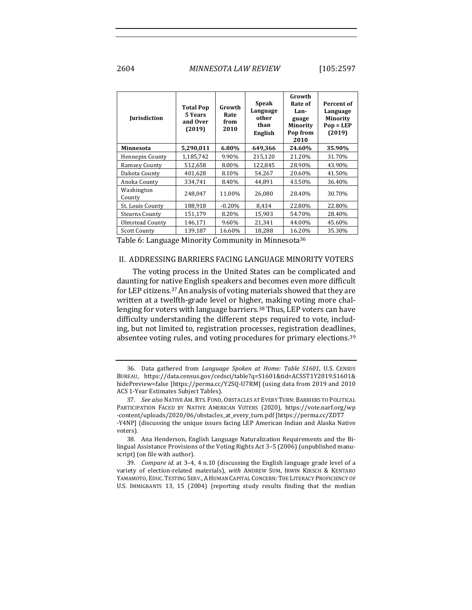2604 *MINNESOTA LAW REVIEW* [105:2597

| <b>Jurisdiction</b>    | <b>Total Pop</b><br>5 Years<br>and Over<br>(2019) | Growth<br>Rate<br>from<br>2010 | <b>Speak</b><br>Language<br>other<br>than<br>English | Growth<br>Rate of<br>Lan-<br>guage<br>Minority<br>Pop from<br>2010 | Percent of<br>Language<br><b>Minority</b><br>$Pop = LEP$<br>(2019) |
|------------------------|---------------------------------------------------|--------------------------------|------------------------------------------------------|--------------------------------------------------------------------|--------------------------------------------------------------------|
| Minnesota              | 5,290,011                                         | 6.80%                          | 649,366                                              | 24.60%                                                             | 35.90%                                                             |
| <b>Hennepin County</b> | 1,185,742                                         | 9.90%                          | 215,120                                              | 21.20%                                                             | 31.70%                                                             |
| <b>Ramsey County</b>   | 512,658                                           | 8.00%                          | 122,845                                              | 28.90%                                                             | 43.90%                                                             |
| Dakota County          | 401,628                                           | 8.10%                          | 54,267                                               | 20.60%                                                             | 41.50%                                                             |
| Anoka County           | 334,741                                           | 8.40%                          | 44,891                                               | 43.50%                                                             | 36.40%                                                             |
| Washington<br>County   | 248.047                                           | 11.00%                         | 26.080                                               | 28.40%                                                             | 30.70%                                                             |
| St. Louis County       | 188,918                                           | $-0.20%$                       | 8,434                                                | 22.80%                                                             | 22.80%                                                             |
| <b>Stearns County</b>  | 151,179                                           | 8.20%                          | 15,903                                               | 54.70%                                                             | 28.40%                                                             |
| Olmstead County        | 146,171                                           | 9.60%                          | 21,341                                               | 44.00%                                                             | 45.60%                                                             |
| <b>Scott County</b>    | 139,187                                           | 16.60%                         | 18,288                                               | 16.20%                                                             | 35.30%                                                             |

Table 6: Language Minority Community in Minnesota<sup>36</sup>

#### II. ADDRESSING BARRIERS FACING LANGUAGE MINORITY VOTERS

The voting process in the United States can be complicated and daunting for native English speakers and becomes even more difficult for LEP citizens.<sup>37</sup> An analysis of voting materials showed that they are written at a twelfth-grade level or higher, making voting more challenging for voters with language barriers.<sup>38</sup> Thus, LEP voters can have difficulty understanding the different steps required to vote, including, but not limited to, registration processes, registration deadlines, absentee voting rules, and voting procedures for primary elections.<sup>39</sup>

<sup>36.</sup> Data gathered from *Language Spoken at Home: Table S1601*, U.S. CENSUS BUREAU, https://data.census.gov/cedsci/table?q=S1601&tid=ACSST1Y2019.S1601& hidePreview=false [https://perma.cc/Y2SQ-U7RM] (using data from 2019 and 2010 ACS 1-Year Estimates Subject Tables).

<sup>37.</sup> See also NATIVE AM. RTS. FUND, OBSTACLES AT EVERY TURN: BARRIERS TO POLITICAL PARTICIPATION FACED BY NATIVE AMERICAN VOTERS (2020), https://vote.narf.org/wp -content/uploads/2020/06/obstacles\_at\_every\_turn.pdf [https://perma.cc/ZDT7 -Y4NP] (discussing the unique issues facing LEP American Indian and Alaska Native

voters).

<sup>38.</sup> Ana Henderson, English Language Naturalization Requirements and the Bilingual Assistance Provisions of the Voting Rights Act 3-5 (2006) (unpublished manuscript) (on file with author).

<sup>39.</sup> *Compare id.* at 3–4, 4 n.10 (discussing the English language grade level of a variety of election-related materials), with ANDREW SUM, IRWIN KIRSCH & KENTARO YAMAMOTO, EDUC. TESTING SERV., A HUMAN CAPITAL CONCERN: THE LITERACY PROFICIENCY OF U.S. IMMIGRANTS 13, 15 (2004) (reporting study results finding that the median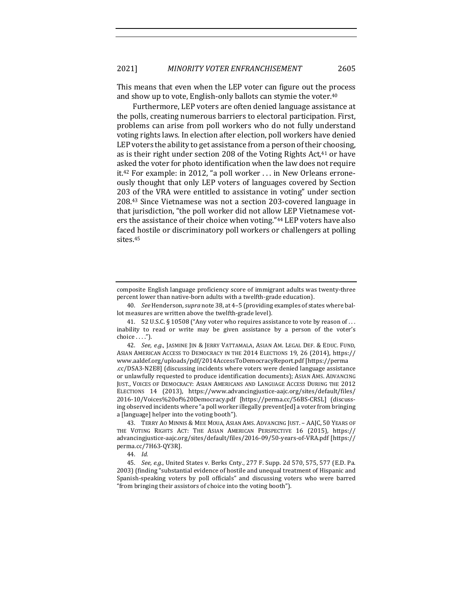This means that even when the LEP voter can figure out the process and show up to vote, English-only ballots can stymie the voter. $40$ 

Furthermore, LEP voters are often denied language assistance at the polls, creating numerous barriers to electoral participation. First, problems can arise from poll workers who do not fully understand voting rights laws. In election after election, poll workers have denied LEP voters the ability to get assistance from a person of their choosing, as is their right under section 208 of the Voting Rights Act, $41$  or have asked the voter for photo identification when the law does not require it.<sup>42</sup> For example: in 2012, "a poll worker ... in New Orleans erroneously thought that only LEP voters of languages covered by Section 203 of the VRA were entitled to assistance in voting" under section 208.<sup>43</sup> Since Vietnamese was not a section 203-covered language in that jurisdiction, "the poll worker did not allow LEP Vietnamese voters the assistance of their choice when voting."44 LEP voters have also faced hostile or discriminatory poll workers or challengers at polling sites.45

42. *See, e.g.*, JASMINE JIN & JERRY VATTAMALA, ASIAN AM. LEGAL DEF. & EDUC. FUND, ASIAN AMERICAN ACCESS TO DEMOCRACY IN THE 2014 ELECTIONS 19, 26 (2014), https:// www.aaldef.org/uploads/pdf/2014AccessToDemocracyReport.pdf [https://perma .cc/DSA3-N2E8] (discussing incidents where voters were denied language assistance or unlawfully requested to produce identification documents); ASIAN AMS. ADVANCING JUST., VOICES OF DEMOCRACY: ASIAN AMERICANS AND LANGUAGE ACCESS DURING THE 2012 ELECTIONS 14 (2013), https://www.advancingjustice-aajc.org/sites/default/files/ 2016-10/Voices%20of%20Democracy.pdf [https://perma.cc/56BS-CRSL] (discussing observed incidents where "a poll worker illegally prevent[ed] a voter from bringing a [language] helper into the voting booth").

43. TERRY AO MINNIS & MEE MOUA, ASIAN AMS. ADVANCING JUST. - AAJC, 50 YEARS OF THE VOTING RIGHTS ACT: THE ASIAN AMERICAN PERSPECTIVE 16 (2015), https:// advancingjustice-aajc.org/sites/default/files/2016-09/50-years-of-VRA.pdf [https:// perma.cc/7H63-QY3R].

44. *Id.*

45. *See, e.g.*, United States v. Berks Cnty., 277 F. Supp. 2d 570, 575, 577 (E.D. Pa. 2003) (finding "substantial evidence of hostile and unequal treatment of Hispanic and Spanish-speaking voters by poll officials" and discussing voters who were barred "from bringing their assistors of choice into the voting booth").

composite English language proficiency score of immigrant adults was twenty-three percent lower than native-born adults with a twelfth-grade education).

<sup>40.</sup> *See* Henderson, *supra* note 38, at 4-5 (providing examples of states where ballot measures are written above the twelfth-grade level).

<sup>41.</sup>  $52 \text{ U.S.C.}$  § 10508 ("Any voter who requires assistance to vote by reason of ... inability to read or write may be given assistance by a person of the voter's choice  $\dots$ .").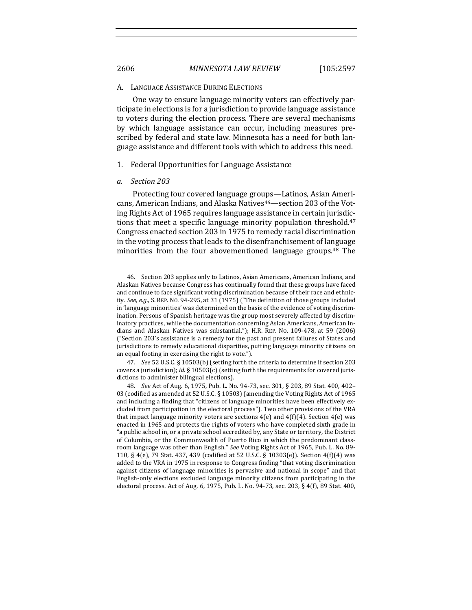#### A. LANGUAGE ASSISTANCE DURING ELECTIONS

One way to ensure language minority voters can effectively participate in elections is for a jurisdiction to provide language assistance to voters during the election process. There are several mechanisms by which language assistance can occur, including measures prescribed by federal and state law. Minnesota has a need for both language assistance and different tools with which to address this need.

#### 1. Federal Opportunities for Language Assistance

#### *a. Section 203*

Protecting four covered language groups—Latinos, Asian Americans, American Indians, and Alaska Natives<sup>46</sup>—section 203 of the Voting Rights Act of 1965 requires language assistance in certain jurisdictions that meet a specific language minority population threshold.<sup>47</sup> Congress enacted section 203 in 1975 to remedy racial discrimination in the voting process that leads to the disenfranchisement of language minorities from the four abovementioned language groups.<sup>48</sup> The

<sup>46.</sup> Section 203 applies only to Latinos, Asian Americans, American Indians, and Alaskan Natives because Congress has continually found that these groups have faced and continue to face significant voting discrimination because of their race and ethnicity. See, e.g., S. REP. No. 94-295, at 31 (1975) ("The definition of those groups included in 'language minorities' was determined on the basis of the evidence of voting discrimination. Persons of Spanish heritage was the group most severely affected by discriminatory practices, while the documentation concerning Asian Americans, American Indians and Alaskan Natives was substantial."); H.R. REP. No. 109-478, at 59 (2006) ("Section 203's assistance is a remedy for the past and present failures of States and jurisdictions to remedy educational disparities, putting language minority citizens on an equal footing in exercising the right to vote.").

<sup>47.</sup> *See* 52 U.S.C. § 10503(b) (setting forth the criteria to determine if section 203 covers a jurisdiction); *id.* § 10503(c) (setting forth the requirements for covered jurisdictions to administer bilingual elections).

<sup>48.</sup> *See* Act of Aug. 6, 1975, Pub. L. No. 94-73, sec. 301, § 203, 89 Stat. 400, 402-03 (codified as amended at 52 U.S.C. § 10503) (amending the Voting Rights Act of 1965 and including a finding that "citizens of language minorities have been effectively excluded from participation in the electoral process"). Two other provisions of the VRA that impact language minority voters are sections  $4(e)$  and  $4(f)(4)$ . Section  $4(e)$  was enacted in 1965 and protects the rights of voters who have completed sixth grade in "a public school in, or a private school accredited by, any State or territory, the District of Columbia, or the Commonwealth of Puerto Rico in which the predominant classroom language was other than English." See Voting Rights Act of 1965, Pub. L. No. 89-110, § 4(e), 79 Stat. 437, 439 (codified at 52 U.S.C. § 10303(e)). Section  $4(f)(4)$  was added to the VRA in 1975 in response to Congress finding "that voting discrimination against citizens of language minorities is pervasive and national in scope" and that English-only elections excluded language minority citizens from participating in the electoral process. Act of Aug. 6, 1975, Pub. L. No. 94-73, sec. 203, § 4(f), 89 Stat. 400,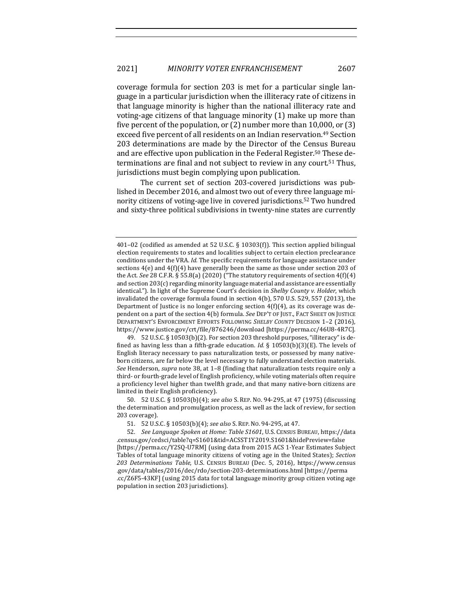coverage formula for section 203 is met for a particular single language in a particular jurisdiction when the illiteracy rate of citizens in that language minority is higher than the national illiteracy rate and voting-age citizens of that language minority  $(1)$  make up more than five percent of the population, or  $(2)$  number more than 10,000, or  $(3)$ exceed five percent of all residents on an Indian reservation.<sup>49</sup> Section 203 determinations are made by the Director of the Census Bureau and are effective upon publication in the Federal Register.<sup>50</sup> These determinations are final and not subject to review in any court.<sup>51</sup> Thus, jurisdictions must begin complying upon publication.

The current set of section 203-covered jurisdictions was published in December 2016, and almost two out of every three language minority citizens of voting-age live in covered jurisdictions.<sup>52</sup> Two hundred and sixty-three political subdivisions in twenty-nine states are currently

49. 52 U.S.C. § 10503(b)(2). For section 203 threshold purposes, "illiteracy" is defined as having less than a fifth-grade education. *Id.*  $\S$  10503(b)(3)(E). The levels of English literacy necessary to pass naturalization tests, or possessed by many nativeborn citizens, are far below the level necessary to fully understand election materials. See Henderson, *supra* note 38, at 1-8 (finding that naturalization tests require only a third- or fourth-grade level of English proficiency, while voting materials often require a proficiency level higher than twelfth grade, and that many native-born citizens are limited in their English proficiency).

50. 52 U.S.C. § 10503(b)(4); *see also* S. REP. NO. 94-295, at 47 (1975) (discussing the determination and promulgation process, as well as the lack of review, for section 203 coverage).

51. 52 U.S.C. § 10503(b)(4); *see also* S. REP. NO. 94-295, at 47.

52. See Language Spoken at Home: Table S1601, U.S. CENSUS BUREAU, https://data .census.gov/cedsci/table?q=S1601&tid=ACSST1Y2019.S1601&hidePreview=false [https://perma.cc/Y2SQ-U7RM] (using data from 2015 ACS 1-Year Estimates Subject Tables of total language minority citizens of voting age in the United States); *Section 203 Determinations Table*, U.S. CENSUS BUREAU (Dec. 5, 2016), https://www.census .gov/data/tables/2016/dec/rdo/section-203-determinations.html [https://perma .cc/Z6F5-43KF] (using 2015 data for total language minority group citizen voting age population in section 203 jurisdictions).

<sup>401-02 (</sup>codified as amended at 52 U.S.C. § 10303(f)). This section applied bilingual election requirements to states and localities subject to certain election preclearance conditions under the VRA. *Id.* The specific requirements for language assistance under sections  $4(e)$  and  $4(f)(4)$  have generally been the same as those under section 203 of the Act. See 28 C.F.R. § 55.8(a) (2020) ("The statutory requirements of section 4(f)(4) and section  $203(c)$  regarding minority language material and assistance are essentially identical."). In light of the Supreme Court's decision in *Shelby County v. Holder*, which invalidated the coverage formula found in section  $4(b)$ , 570 U.S. 529, 557 (2013), the Department of Justice is no longer enforcing section  $4(f)(4)$ , as its coverage was dependent on a part of the section 4(b) formula. See DEP'T OF JUST., FACT SHEET ON JUSTICE DEPARTMENT'S ENFORCEMENT EFFORTS FOLLOWING SHELBY COUNTY DECISION 1-2 (2016), https://www.justice.gov/crt/file/876246/download [https://perma.cc/46U8-4R7C].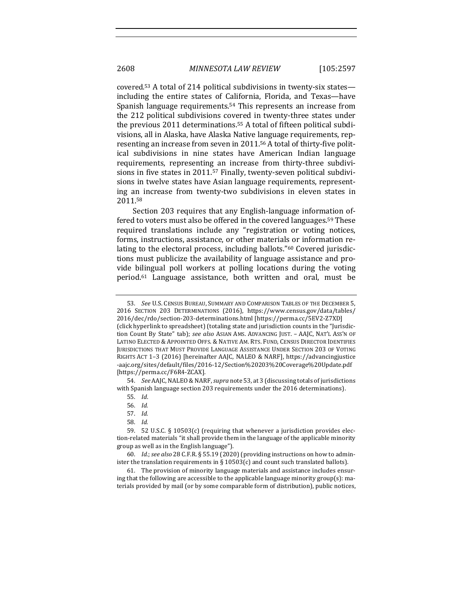covered.<sup>53</sup> A total of 214 political subdivisions in twenty-six states including the entire states of California, Florida, and Texas—have Spanish language requirements.<sup>54</sup> This represents an increase from the 212 political subdivisions covered in twenty-three states under the previous 2011 determinations.<sup>55</sup> A total of fifteen political subdivisions, all in Alaska, have Alaska Native language requirements, representing an increase from seven in 2011.<sup>56</sup> A total of thirty-five political subdivisions in nine states have American Indian language requirements, representing an increase from thirty-three subdivisions in five states in 2011.<sup>57</sup> Finally, twenty-seven political subdivisions in twelve states have Asian language requirements, representing an increase from twenty-two subdivisions in eleven states in 2011.58

Section 203 requires that any English-language information offered to voters must also be offered in the covered languages.<sup>59</sup> These required translations include any "registration or voting notices, forms, instructions, assistance, or other materials or information relating to the electoral process, including ballots."<sup>60</sup> Covered jurisdictions must publicize the availability of language assistance and provide bilingual poll workers at polling locations during the voting period.<sup>61</sup> Language assistance, both written and oral, must be

54. *See* AAJC, NALEO & NARF, *supra* note 53, at 3 (discussing totals of jurisdictions with Spanish language section 203 requirements under the 2016 determinations).

58. *Id.*

<sup>53.</sup> *See U.S. CENSUS BUREAU, SUMMARY AND COMPARISON TABLES OF THE DECEMBER 5.* 2016 SECTION 203 DETERMINATIONS (2016), https://www.census.gov/data/tables/ 2016/dec/rdo/section-203-determinations.html [https://perma.cc/5EV2-Z7XD] (click hyperlink to spreadsheet) (totaling state and jurisdiction counts in the "Jurisdiction Count By State" tab); see also ASIAN AMS. ADVANCING JUST. - AAJC, NAT'L ASS'N OF LATINO ELECTED & APPOINTED OFFS. & NATIVE AM. RTS. FUND, CENSUS DIRECTOR IDENTIFIES JURISDICTIONS THAT MUST PROVIDE LANGUAGE ASSISTANCE UNDER SECTION 203 OF VOTING RIGHTS ACT 1-3 (2016) [hereinafter AAJC, NALEO & NARF], https://advancingjustice -aajc.org/sites/default/files/2016-12/Section%20203%20Coverage%20Update.pdf [https://perma.cc/F6R4-ZCAX].

<sup>55.</sup> *Id*.

<sup>56.</sup> *Id.*

<sup>57.</sup> *Id.*

<sup>59. 52</sup> U.S.C. § 10503(c) (requiring that whenever a jurisdiction provides election-related materials "it shall provide them in the language of the applicable minority group as well as in the English language").

<sup>60.</sup> *Id.*; see also 28 C.F.R. § 55.19 (2020) (providing instructions on how to administer the translation requirements in § 10503(c) and count such translated ballots).

<sup>61.</sup> The provision of minority language materials and assistance includes ensuring that the following are accessible to the applicable language minority group(s): materials provided by mail (or by some comparable form of distribution), public notices,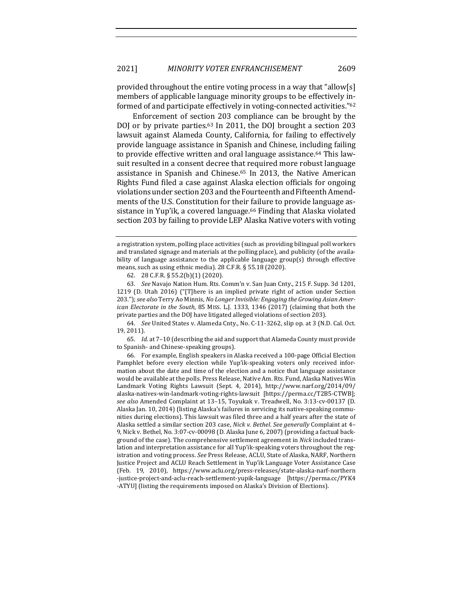provided throughout the entire voting process in a way that "allow[s] members of applicable language minority groups to be effectively informed of and participate effectively in voting-connected activities."62

Enforcement of section 203 compliance can be brought by the DOJ or by private parties.<sup>63</sup> In 2011, the DOJ brought a section 203 lawsuit against Alameda County, California, for failing to effectively provide language assistance in Spanish and Chinese, including failing to provide effective written and oral language assistance.<sup>64</sup> This lawsuit resulted in a consent decree that required more robust language assistance in Spanish and Chinese.<sup>65</sup> In 2013, the Native American Rights Fund filed a case against Alaska election officials for ongoing violations under section 203 and the Fourteenth and Fifteenth Amendments of the U.S. Constitution for their failure to provide language assistance in Yup'ik, a covered language.<sup>66</sup> Finding that Alaska violated section 203 by failing to provide LEP Alaska Native voters with voting

65. *Id.* at 7-10 (describing the aid and support that Alameda County must provide to Spanish- and Chinese-speaking groups).

66. For example, English speakers in Alaska received a 100-page Official Election Pamphlet before every election while Yup'ik-speaking voters only received information about the date and time of the election and a notice that language assistance would be available at the polls. Press Release, Native Am. Rts. Fund, Alaska Natives Win Landmark Voting Rights Lawsuit (Sept. 4, 2014), http://www.narf.org/2014/09/ alaska-natives-win-landmark-voting-rights-lawsuit [https://perma.cc/T2B5-CTWB]; *see also* Amended Complaint at 13–15, Toyukak v. Treadwell, No. 3:13-cv-00137 (D. Alaska Jan. 10, 2014) (listing Alaska's failures in servicing its native-speaking communities during elections). This lawsuit was filed three and a half years after the state of Alaska settled a similar section 203 case, *Nick v. Bethel. See generally* Complaint at 4-9, Nick v. Bethel, No. 3:07-cv-00098 (D. Alaska June 6, 2007) (providing a factual background of the case). The comprehensive settlement agreement in *Nick* included translation and interpretation assistance for all Yup'ik-speaking voters throughout the registration and voting process. See Press Release, ACLU, State of Alaska, NARF, Northern Justice Project and ACLU Reach Settlement in Yup'ik Language Voter Assistance Case (Feb. 19, 2010), https://www.aclu.org/press-releases/state-alaska-narf-northern -justice-project-and-aclu-reach-settlement-yupik-language [https://perma.cc/PYK4 -ATYU] (listing the requirements imposed on Alaska's Division of Elections).

a registration system, polling place activities (such as providing bilingual poll workers and translated signage and materials at the polling place), and publicity (of the availability of language assistance to the applicable language group(s) through effective means, such as using ethnic media). 28 C.F.R. § 55.18 (2020).

<sup>62.</sup> 28 C.F.R. § 55.2(b)(1) (2020).

<sup>63.</sup> *See* Navajo Nation Hum. Rts. Comm'n v. San Juan Cnty., 215 F. Supp. 3d 1201, 1219 (D. Utah 2016) ("[T]here is an implied private right of action under Section 203."); see also Terry Ao Minnis, No Longer Invisible: Engaging the Growing Asian Amer*ican Electorate in the South*, 85 MISS. L.J. 1333, 1346 (2017) (claiming that both the private parties and the DOJ have litigated alleged violations of section 203).

<sup>64.</sup> *See* United States v. Alameda Cnty., No. C-11-3262, slip op. at 3 (N.D. Cal. Oct. 19, 2011).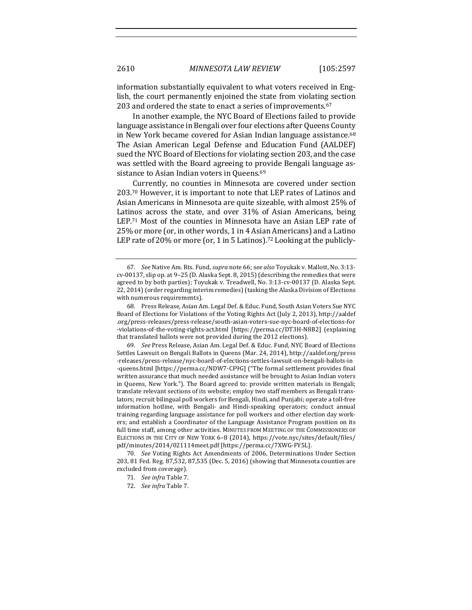information substantially equivalent to what voters received in English, the court permanently enjoined the state from violating section 203 and ordered the state to enact a series of improvements.<sup>67</sup>

In another example, the NYC Board of Elections failed to provide language assistance in Bengali over four elections after Queens County in New York became covered for Asian Indian language assistance.<sup>68</sup> The Asian American Legal Defense and Education Fund (AALDEF) sued the NYC Board of Elections for violating section 203, and the case was settled with the Board agreeing to provide Bengali language assistance to Asian Indian voters in Queens.<sup>69</sup>

Currently, no counties in Minnesota are covered under section  $203.70$  However, it is important to note that LEP rates of Latinos and Asian Americans in Minnesota are quite sizeable, with almost 25% of Latinos across the state, and over 31% of Asian Americans, being LEP.<sup>71</sup> Most of the counties in Minnesota have an Asian LEP rate of 25% or more (or, in other words, 1 in 4 Asian Americans) and a Latino LEP rate of 20% or more (or, 1 in 5 Latinos).<sup>72</sup> Looking at the publicly-

69. *See* Press Release, Asian Am. Legal Def. & Educ. Fund, NYC Board of Elections Settles Lawsuit on Bengali Ballots in Queens (Mar. 24, 2014), http://aaldef.org/press -releases/press-release/nyc-board-of-elections-settles-lawsuit-on-bengali-ballots-in -queens.html [https://perma.cc/NDW7-CF9G] ("The formal settlement provides final written assurance that much needed assistance will be brought to Asian Indian voters in Queens, New York."). The Board agreed to: provide written materials in Bengali; translate relevant sections of its website; employ two staff members as Bengali translators; recruit bilingual poll workers for Bengali, Hindi, and Punjabi; operate a toll-free information hotline, with Bengali- and Hindi-speaking operators; conduct annual training regarding language assistance for poll workers and other election day workers; and establish a Coordinator of the Language Assistance Program position on its full time staff, among other activities. MINUTES FROM MEETING OF THE COMMISSIONERS OF ELECTIONS IN THE CITY OF NEW YORK 6-8 (2014), https://vote.nyc/sites/default/files/ pdf/minutes/2014/021114meet.pdf [https://perma.cc/7XWG-FY5L].

70. *See* Voting Rights Act Amendments of 2006, Determinations Under Section 203, 81 Fed. Reg. 87,532, 87,535 (Dec. 5, 2016) (showing that Minnesota counties are excluded from coverage).

- 71. *See infra* Table 7.
- 72. *See infra* Table 7.

<sup>67.</sup> *See* Native Am. Rts. Fund, *supra* note 66; see also Toyukak v. Mallott, No. 3:13cv-00137, slip op. at  $9-25$  (D. Alaska Sept. 8, 2015) (describing the remedies that were agreed to by both parties); Toyukak v. Treadwell, No. 3:13-cv-00137 (D. Alaska Sept. 22, 2014) (order regarding interim remedies) (tasking the Alaska Division of Elections with numerous requirements).

<sup>68.</sup> Press Release, Asian Am. Legal Def. & Educ. Fund, South Asian Voters Sue NYC Board of Elections for Violations of the Voting Rights Act (July 2, 2013), http://aaldef .org/press-releases/press-release/south-asian-voters-sue-nyc-board-of-elections-for -violations-of-the-voting-rights-act.html [https://perma.cc/DT3H-N8B2] (explaining that translated ballots were not provided during the 2012 elections).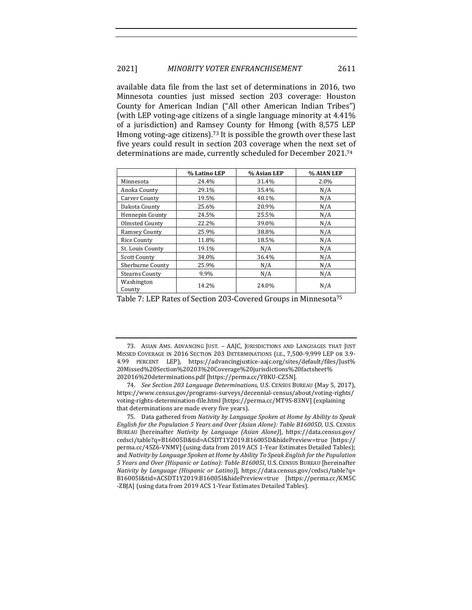available data file from the last set of determinations in 2016, two Minnesota counties just missed section 203 coverage: Houston County for American Indian ("All other American Indian Tribes") (with LEP voting-age citizens of a single language minority at  $4.41\%$ ) of a jurisdiction) and Ramsey County for Hmong (with 8,575 LEP Hmong voting-age citizens).<sup>73</sup> It is possible the growth over these last five years could result in section 203 coverage when the next set of determinations are made, currently scheduled for December 2021.<sup>74</sup>

|                       | % Latino LEP | % Asian LEP | % AIAN LEP |
|-----------------------|--------------|-------------|------------|
| Minnesota             | 24.4%        | 31.4%       | 2.0%       |
| Anoka County          | 29.1%        | 35.4%       | N/A        |
| Carver County         | 19.5%        | 40.1%       | N/A        |
| Dakota County         | 25.6%        | 20.9%       | N/A        |
| Hennepin County       | 24.5%        | 25.5%       | N/A        |
| Olmsted County        | 22.2%        | 39.0%       | N/A        |
| <b>Ramsey County</b>  | 25.9%        | 38.8%       | N/A        |
| Rice County           | 11.8%        | 18.5%       | N/A        |
| St. Louis County      | 19.1%        | N/A         | N/A        |
| <b>Scott County</b>   | 34.0%        | 36.4%       | N/A        |
| Sherburne County      | 25.9%        | N/A         | N/A        |
| <b>Stearns County</b> | 9.9%         | N/A         | N/A        |
| Washington<br>County  | 14.2%        | 24.0%       | N/A        |

Table 7: LEP Rates of Section 203-Covered Groups in Minnesota<sup>75</sup>

<sup>73.</sup> ASIAN AMS. ADVANCING JUST. - AAJC, JURISDICTIONS AND LANGUAGES THAT JUST MISSED COVERAGE IN 2016 SECTION 203 DETERMINATIONS (I.E., 7,500-9,999 LEP OR 3.9-4.99 PERCENT LEP), https://advancingjustice-aajc.org/sites/default/files/Just% 20Missed%20Section%20203%20Coverage%20jurisdictions%20factsheet% 202016%20determinations.pdf [https://perma.cc/Y8KU-CZ5N].

<sup>74.</sup> *See Section 203 Language Determinations*, U.S. CENSUS BUREAU (May 5, 2017), https://www.census.gov/programs-surveys/decennial-census/about/voting-rights/ voting-rights-determination-file.html [https://perma.cc/MT9S-83NV] (explaining that determinations are made every five years).

<sup>75.</sup> Data gathered from *Nativity by Language Spoken at Home by Ability to Speak English for the Population 5 Years and Over (Asian Alone): Table B16005D, U.S. CENSUS* BUREAU [hereinafter *Nativity by Language (Asian Alone)*], https://data.census.gov/ cedsci/table?q=B16005D&tid=ACSDT1Y2019.B16005D&hidePreview=true [https:// perma.cc/45Z6-VNMV] (using data from 2019 ACS 1-Year Estimates Detailed Tables); and *Nativity by Language Spoken at Home by Ability To Speak English for the Population 5 Years and Over (Hispanic or Latino): Table B16005I*, U.S. CENSUS BUREAU [hereinafter *Nativity by Language* (Hispanic or Latino)], https://data.census.gov/cedsci/table?q= B16005I&tid=ACSDT1Y2019.B16005I&hidePreview=true [https://perma.cc/KM5C -ZBJA] (using data from 2019 ACS 1-Year Estimates Detailed Tables).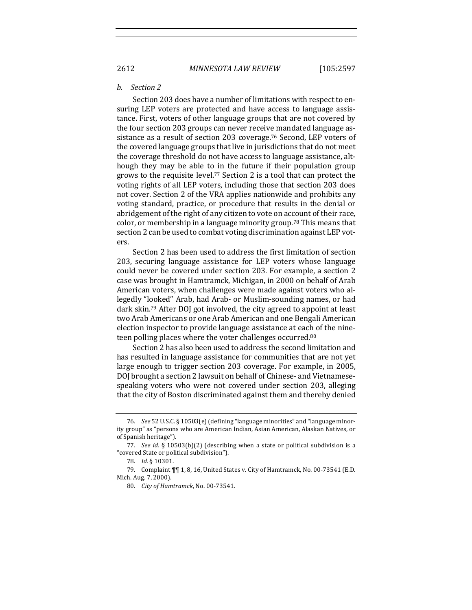#### *b. Section 2*

Section 203 does have a number of limitations with respect to ensuring LEP voters are protected and have access to language assistance. First, voters of other language groups that are not covered by the four section 203 groups can never receive mandated language assistance as a result of section 203 coverage.<sup>76</sup> Second, LEP voters of the covered language groups that live in jurisdictions that do not meet the coverage threshold do not have access to language assistance, although they may be able to in the future if their population group grows to the requisite level.<sup>77</sup> Section 2 is a tool that can protect the voting rights of all LEP voters, including those that section 203 does not cover. Section 2 of the VRA applies nationwide and prohibits any voting standard, practice, or procedure that results in the denial or abridgement of the right of any citizen to vote on account of their race, color, or membership in a language minority group.<sup>78</sup> This means that section 2 can be used to combat voting discrimination against LEP voters.

Section 2 has been used to address the first limitation of section 203, securing language assistance for LEP voters whose language could never be covered under section 203. For example, a section 2 case was brought in Hamtramck, Michigan, in 2000 on behalf of Arab American voters, when challenges were made against voters who allegedly "looked" Arab, had Arab- or Muslim-sounding names, or had dark skin.<sup>79</sup> After DOJ got involved, the city agreed to appoint at least two Arab Americans or one Arab American and one Bengali American election inspector to provide language assistance at each of the nineteen polling places where the voter challenges occurred.<sup>80</sup>

Section 2 has also been used to address the second limitation and has resulted in language assistance for communities that are not yet large enough to trigger section 203 coverage. For example, in 2005, DOJ brought a section 2 lawsuit on behalf of Chinese- and Vietnamesespeaking voters who were not covered under section 203, alleging that the city of Boston discriminated against them and thereby denied

<sup>76.</sup> *See* 52 U.S.C. § 10503(e) (defining "language minorities" and "language minority group" as "persons who are American Indian, Asian American, Alaskan Natives, or of Spanish heritage").

<sup>77.</sup> *See id.* § 10503(b)(2) (describing when a state or political subdivision is a "covered State or political subdivision").

<sup>78.</sup> *Id.* § 10301.

<sup>79.</sup> Complaint  $\P\P$  1, 8, 16, United States v. City of Hamtramck, No. 00-73541 (E.D. Mich. Aug. 7, 2000).

<sup>80.</sup> *City of Hamtramck*, No. 00-73541.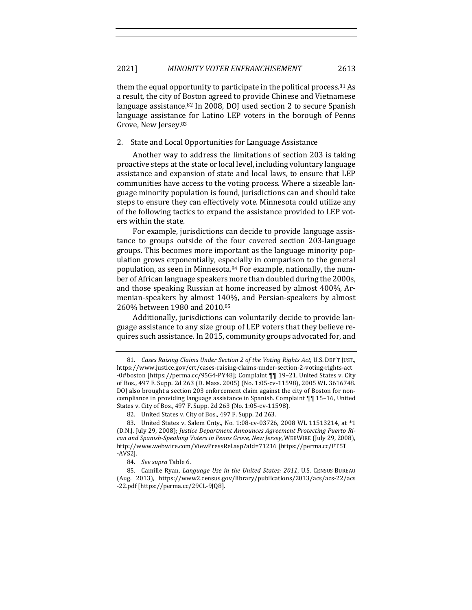them the equal opportunity to participate in the political process.  $81$  As a result, the city of Boston agreed to provide Chinese and Vietnamese language assistance.<sup>82</sup> In 2008, DOJ used section 2 to secure Spanish language assistance for Latino LEP voters in the borough of Penns Grove, New Jersey.<sup>83</sup>

2. State and Local Opportunities for Language Assistance

Another way to address the limitations of section 203 is taking proactive steps at the state or local level, including voluntary language assistance and expansion of state and local laws, to ensure that LEP communities have access to the voting process. Where a sizeable language minority population is found, jurisdictions can and should take steps to ensure they can effectively vote. Minnesota could utilize any of the following tactics to expand the assistance provided to LEP voters within the state.

For example, jurisdictions can decide to provide language assistance to groups outside of the four covered section 203-language groups. This becomes more important as the language minority population grows exponentially, especially in comparison to the general population, as seen in Minnesota. $84$  For example, nationally, the number of African language speakers more than doubled during the 2000s, and those speaking Russian at home increased by almost 400%, Armenian-speakers by almost 140%, and Persian-speakers by almost 260% between 1980 and 2010.85

Additionally, jurisdictions can voluntarily decide to provide language assistance to any size group of LEP voters that they believe requires such assistance. In 2015, community groups advocated for, and

<sup>81.</sup> *Cases Raising Claims Under Section 2 of the Voting Rights Act*, U.S. DEP'T JUST., https://www.justice.gov/crt/cases-raising-claims-under-section-2-voting-rights-act -0#boston [https://perma.cc/95G4-PY48]; Complaint 11 19-21, United States v. City of Bos., 497 F. Supp. 2d 263 (D. Mass. 2005) (No. 1:05-cv-11598), 2005 WL 3616748. DOJ also brought a section 203 enforcement claim against the city of Boston for noncompliance in providing language assistance in Spanish. Complaint  $\P\P$  15–16, United States v. City of Bos., 497 F. Supp. 2d 263 (No. 1:05-cv-11598).

<sup>82.</sup> United States v. City of Bos., 497 F. Supp. 2d 263.

<sup>83.</sup> United States v. Salem Cnty., No. 1:08-cv-03726, 2008 WL 11513214, at \*1 (D.N.J. July 29, 2008); *Justice Department Announces Agreement Protecting Puerto Rican and Spanish-Speaking Voters in Penns Grove, New Jersey, WEBWIRE (July 29, 2008),* http://www.webwire.com/ViewPressRel.asp?aId=71216 [https://perma.cc/FT5T -AVS2].

<sup>84.</sup> *See supra* Table 6.

<sup>85.</sup> Camille Ryan, *Language Use in the United States: 2011*, U.S. CENSUS BUREAU (Aug. 2013), https://www2.census.gov/library/publications/2013/acs/acs-22/acs -22.pdf [https://perma.cc/29CL-9JQ8].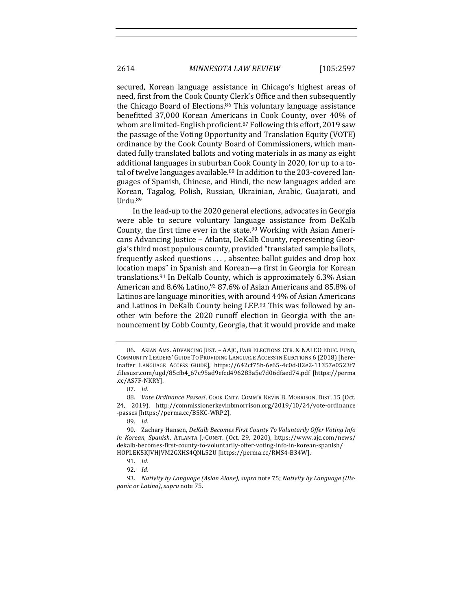secured, Korean language assistance in Chicago's highest areas of need, first from the Cook County Clerk's Office and then subsequently the Chicago Board of Elections.<sup>86</sup> This voluntary language assistance benefitted 37,000 Korean Americans in Cook County, over 40% of whom are limited-English proficient.<sup>87</sup> Following this effort, 2019 saw the passage of the Voting Opportunity and Translation Equity (VOTE) ordinance by the Cook County Board of Commissioners, which mandated fully translated ballots and voting materials in as many as eight additional languages in suburban Cook County in 2020, for up to a total of twelve languages available.<sup>88</sup> In addition to the 203-covered languages of Spanish, Chinese, and Hindi, the new languages added are Korean, Tagalog, Polish, Russian, Ukrainian, Arabic, Guajarati, and Urdu.89

In the lead-up to the 2020 general elections, advocates in Georgia were able to secure voluntary language assistance from DeKalb County, the first time ever in the state.<sup>90</sup> Working with Asian Americans Advancing Justice – Atlanta, DeKalb County, representing Georgia's third most populous county, provided "translated sample ballots, frequently asked questions ..., absentee ballot guides and drop box location maps" in Spanish and Korean—a first in Georgia for Korean translations.<sup>91</sup> In DeKalb County, which is approximately  $6.3\%$  Asian American and  $8.6\%$  Latino,<sup>92</sup> 87.6% of Asian Americans and 85.8% of Latinos are language minorities, with around 44% of Asian Americans and Latinos in DeKalb County being LEP.93 This was followed by another win before the 2020 runoff election in Georgia with the announcement by Cobb County, Georgia, that it would provide and make

<sup>86.</sup> ASIAN AMS. ADVANCING JUST. – AAJC, FAIR ELECTIONS CTR. & NALEO EDUC. FUND, COMMUNITY LEADERS' GUIDE TO PROVIDING LANGUAGE ACCESS IN ELECTIONS 6 (2018) [hereinafter LANGUAGE ACCESS GUIDE], https://642cf75b-6e65-4c0d-82e2-11357e0523f7 .filesusr.com/ugd/85cfb4\_67c95ad9efcd496283a5e7d06dfaed74.pdf [https://perma .cc/AS7F-NKRY].

<sup>87.</sup> *Id.*

<sup>88.</sup> *Vote Ordinance Passes!,* COOK CNTY. COMM'R KEVIN B. MORRISON, DIST. 15 (Oct. 24, 2019), http://commissionerkevinbmorrison.org/2019/10/24/vote-ordinance -passes [https://perma.cc/B5KC-WRP2].

<sup>89.</sup> *Id.*

<sup>90.</sup> Zachary Hansen, *DeKalb Becomes First County To Voluntarily Offer Voting Info in Korean, Spanish, ATLANTA J.-CONST. (Oct.* 29, 2020), https://www.ajc.com/news/ dekalb-becomes-first-county-to-voluntarily-offer-voting-info-in-korean-spanish/ HOPLEK5KJVHJVM2GXHS4QNL52U [https://perma.cc/RMS4-B34W].

<sup>91.</sup> *Id.*

<sup>92.</sup> *Id.*

<sup>93.</sup> Nativity by Language (Asian Alone), supra note 75; Nativity by Language (His*panic or Latino*), *supra* note 75.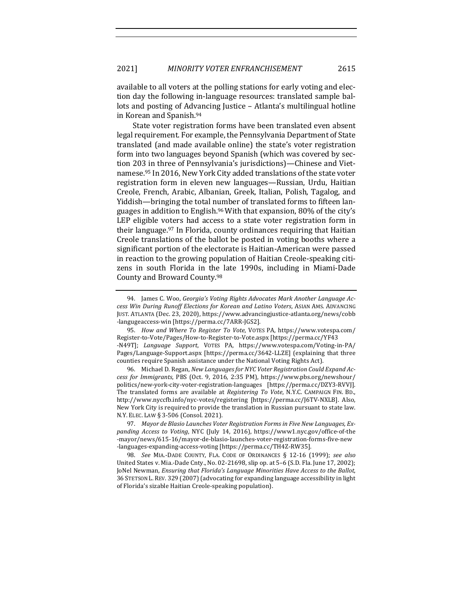available to all voters at the polling stations for early voting and election day the following in-language resources: translated sample ballots and posting of Advancing Justice - Atlanta's multilingual hotline in Korean and Spanish.<sup>94</sup>

State voter registration forms have been translated even absent legal requirement. For example, the Pennsylvania Department of State translated (and made available online) the state's voter registration form into two languages beyond Spanish (which was covered by section 203 in three of Pennsylvania's jurisdictions)—Chinese and Vietnamese.<sup>95</sup> In 2016, New York City added translations of the state voter registration form in eleven new languages—Russian, Urdu, Haitian Creole, French, Arabic, Albanian, Greek, Italian, Polish, Tagalog, and Yiddish—bringing the total number of translated forms to fifteen languages in addition to English.<sup>96</sup> With that expansion, 80% of the city's LEP eligible voters had access to a state voter registration form in their language.<sup>97</sup> In Florida, county ordinances requiring that Haitian Creole translations of the ballot be posted in voting booths where a significant portion of the electorate is Haitian-American were passed in reaction to the growing population of Haitian Creole-speaking citizens in south Florida in the late 1990s, including in Miami-Dade County and Broward County.<sup>98</sup>

96. Michael D. Regan, New Languages for NYC Voter Registration Could Expand Ac*cess for Immigrants*, PBS (Oct. 9, 2016, 2:35 PM), https://www.pbs.org/newshour/ politics/new-york-city-voter-registration-languages [https://perma.cc/DZY3-RVVJ]. The translated forms are available at *Registering To Vote*, N.Y.C. CAMPAIGN FIN. BD., http://www.nyccfb.info/nyc-votes/registering [https://perma.cc/J6TV-NXLB]. Also, New York City is required to provide the translation in Russian pursuant to state law. N.Y. ELEC. LAW § 3-506 (Consol. 2021).

97. Mayor de Blasio Launches Voter Registration Forms in Five New Languages, Expanding Access to Voting, NYC (July 14, 2016), https://www1.nyc.gov/office-of-the -mayor/news/615-16/mayor-de-blasio-launches-voter-registration-forms-five-new -languages-expanding-access-voting [https://perma.cc/TH4Z-RW35].

98. *See* MIA.-DADE COUNTY, FLA. CODE OF ORDINANCES § 12-16 (1999); see also United States v. Mia.-Dade Cnty., No. 02-21698, slip op. at  $5-6$  (S.D. Fla. June  $17$ , 2002); JoNel Newman, *Ensuring that Florida's Language Minorities Have Access to the Ballot*, 36 STETSON L. REV. 329 (2007) (advocating for expanding language accessibility in light of Florida's sizable Haitian Creole-speaking population).

<sup>94.</sup> James C. Woo, *Georgia's Voting Rights Advocates Mark Another Language Access Win During Runoff Elections for Korean and Latino Voters*, ASIAN AMS. ADVANCING JUST. ATLANTA (Dec. 23, 2020), https://www.advancingjustice-atlanta.org/news/cobb -langugeaccess-win [https://perma.cc/7ARR-JGS2].

<sup>95.</sup> *How and Where To Register To Vote*, VOTES PA, https://www.votespa.com/ Register-to-Vote/Pages/How-to-Register-to-Vote.aspx [https://perma.cc/YF43 -N49T]; *Language Support*, VOTES PA, https://www.votespa.com/Voting-in-PA/ Pages/Language-Support.aspx [https://perma.cc/3642-LLZE] (explaining that three counties require Spanish assistance under the National Voting Rights Act).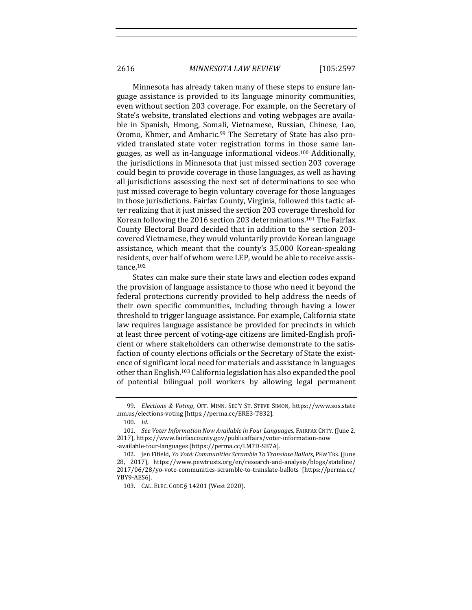Minnesota has already taken many of these steps to ensure language assistance is provided to its language minority communities, even without section 203 coverage. For example, on the Secretary of State's website, translated elections and voting webpages are available in Spanish, Hmong, Somali, Vietnamese, Russian, Chinese, Lao, Oromo, Khmer, and Amharic.<sup>99</sup> The Secretary of State has also provided translated state voter registration forms in those same languages, as well as in-language informational videos.<sup>100</sup> Additionally, the jurisdictions in Minnesota that just missed section 203 coverage could begin to provide coverage in those languages, as well as having all jurisdictions assessing the next set of determinations to see who just missed coverage to begin voluntary coverage for those languages in those jurisdictions. Fairfax County, Virginia, followed this tactic after realizing that it just missed the section 203 coverage threshold for Korean following the 2016 section 203 determinations.<sup>101</sup> The Fairfax County Electoral Board decided that in addition to the section 203covered Vietnamese, they would voluntarily provide Korean language assistance, which meant that the county's 35,000 Korean-speaking residents, over half of whom were LEP, would be able to receive assistance.102

States can make sure their state laws and election codes expand the provision of language assistance to those who need it beyond the federal protections currently provided to help address the needs of their own specific communities, including through having a lower threshold to trigger language assistance. For example, California state law requires language assistance be provided for precincts in which at least three percent of voting-age citizens are limited-English proficient or where stakeholders can otherwise demonstrate to the satisfaction of county elections officials or the Secretary of State the existence of significant local need for materials and assistance in languages other than English.<sup>103</sup> California legislation has also expanded the pool of potential bilingual poll workers by allowing legal permanent

<sup>99.</sup> *Elections & Voting*, OFF. MINN. SEC'Y ST. STEVE SIMON, https://www.sos.state .mn.us/elections-voting [https://perma.cc/ERE3-T832].

<sup>100.</sup> *Id.*

<sup>101.</sup> *See Voter Information Now Available in Four Languages*, FAIRFAX CNTY. (June 2, 2017), https://www.fairfaxcounty.gov/publicaffairs/voter-information-now -available-four-languages [https://perma.cc/LM7D-SB7A].

<sup>102.</sup> Jen Fifield, *Yo Voté: Communities Scramble To Translate Ballots*, PEW TRS. (June 28, 2017), https://www.pewtrusts.org/en/research-and-analysis/blogs/stateline/ 2017/06/28/yo-vote-communities-scramble-to-translate-ballots [https://perma.cc/ YBY9-AES6].

<sup>103.</sup> CAL. ELEC. CODE § 14201 (West 2020).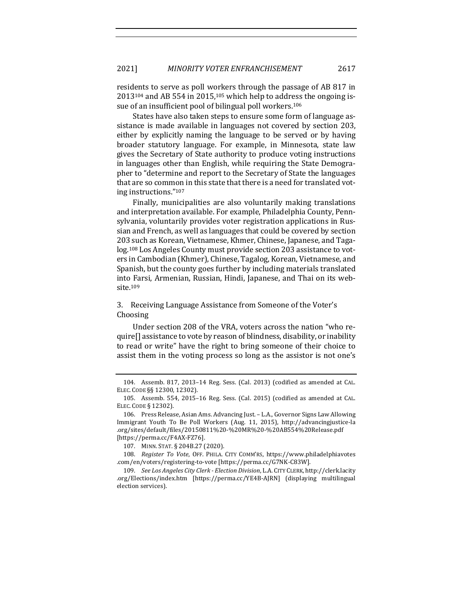residents to serve as poll workers through the passage of AB 817 in  $2013^{104}$  and AB 554 in 2015,<sup>105</sup> which help to address the ongoing issue of an insufficient pool of bilingual poll workers.<sup>106</sup>

States have also taken steps to ensure some form of language assistance is made available in languages not covered by section 203, either by explicitly naming the language to be served or by having broader statutory language. For example, in Minnesota, state law gives the Secretary of State authority to produce voting instructions in languages other than English, while requiring the State Demographer to "determine and report to the Secretary of State the languages that are so common in this state that there is a need for translated voting instructions."107

Finally, municipalities are also voluntarily making translations and interpretation available. For example, Philadelphia County, Pennsylvania, voluntarily provides voter registration applications in Russian and French, as well as languages that could be covered by section 203 such as Korean, Vietnamese, Khmer, Chinese, Japanese, and Tagalog.<sup>108</sup> Los Angeles County must provide section 203 assistance to voters in Cambodian (Khmer), Chinese, Tagalog, Korean, Vietnamese, and Spanish, but the county goes further by including materials translated into Farsi, Armenian, Russian, Hindi, Japanese, and Thai on its website.109

3. Receiving Language Assistance from Someone of the Voter's Choosing

Under section 208 of the VRA, voters across the nation "who require<sup>[]</sup> assistance to vote by reason of blindness, disability, or inability to read or write" have the right to bring someone of their choice to assist them in the voting process so long as the assistor is not one's

<sup>104.</sup> Assemb. 817, 2013-14 Reg. Sess. (Cal. 2013) (codified as amended at CAL. ELEC. CODE §§ 12300, 12302).

<sup>105.</sup> Assemb. 554, 2015-16 Reg. Sess. (Cal. 2015) (codified as amended at CAL. ELEC. CODE § 12302).

<sup>106.</sup> Press Release, Asian Ams. Advancing Just. - L.A., Governor Signs Law Allowing Immigrant Youth To Be Poll Workers (Aug. 11, 2015), http://advancingjustice-la .org/sites/default/files/20150811%20-%20MR%20-%20AB554%20Release.pdf [https://perma.cc/F4AX-FZ76].

<sup>107.</sup> MINN. STAT. § 204B.27 (2020).

<sup>108.</sup> *Register To Vote*, OFF. PHILA. CITY COMM'RS, https://www.philadelphiavotes .com/en/voters/registering-to-vote [https://perma.cc/G7NK-C83W].

<sup>109.</sup> *See Los Angeles City Clerk - Election Division*, L.A. CITY CLERK, http://clerk.lacity .org/Elections/index.htm [https://perma.cc/YE4B-AJRN] (displaying multilingual election services).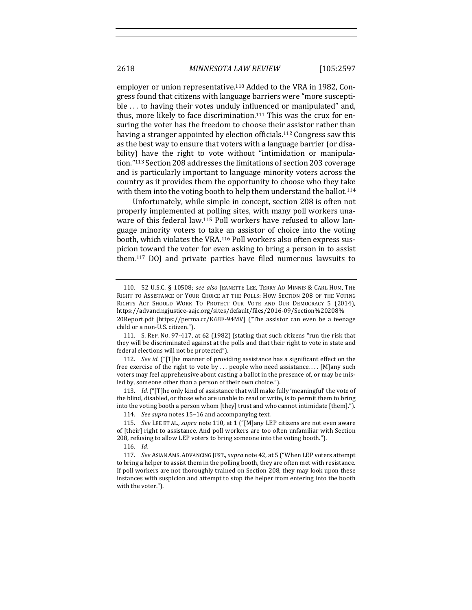employer or union representative.<sup>110</sup> Added to the VRA in 1982, Congress found that citizens with language barriers were "more susceptible ... to having their votes unduly influenced or manipulated" and, thus, more likely to face discrimination.<sup>111</sup> This was the crux for ensuring the voter has the freedom to choose their assistor rather than having a stranger appointed by election officials.<sup>112</sup> Congress saw this as the best way to ensure that voters with a language barrier (or disability) have the right to vote without "intimidation or manipulation."<sup>113</sup> Section 208 addresses the limitations of section 203 coverage and is particularly important to language minority voters across the country as it provides them the opportunity to choose who they take with them into the voting booth to help them understand the ballot.<sup>114</sup>

Unfortunately, while simple in concept, section 208 is often not properly implemented at polling sites, with many poll workers unaware of this federal law.<sup>115</sup> Poll workers have refused to allow language minority voters to take an assistor of choice into the voting booth, which violates the VRA.<sup>116</sup> Poll workers also often express suspicion toward the voter for even asking to bring a person in to assist them.<sup>117</sup> DOJ and private parties have filed numerous lawsuits to

113. *Id.* ("[T]he only kind of assistance that will make fully 'meaningful' the vote of the blind, disabled, or those who are unable to read or write, is to permit them to bring into the voting booth a person whom [they] trust and who cannot intimidate [them].").

116. *Id.*

<sup>110. 52</sup> U.S.C. § 10508; see also JEANETTE LEE, TERRY AO MINNIS & CARL HUM, THE RIGHT TO ASSISTANCE OF YOUR CHOICE AT THE POLLS: HOW SECTION 208 OF THE VOTING RIGHTS ACT SHOULD WORK TO PROTECT OUR VOTE AND OUR DEMOCRACY 5 (2014), https://advancingjustice-aajc.org/sites/default/files/2016-09/Section%20208% 20Report.pdf [https://perma.cc/K68F-94MV] ("The assistor can even be a teenage child or a non-U.S. citizen.").

<sup>111.</sup> S. REP. No. 97-417, at 62 (1982) (stating that such citizens "run the risk that they will be discriminated against at the polls and that their right to vote in state and federal elections will not be protected").

<sup>112.</sup> *See id.* ("[T]he manner of providing assistance has a significant effect on the free exercise of the right to vote by  $\dots$  people who need assistance.... [M]any such voters may feel apprehensive about casting a ballot in the presence of, or may be misled by, someone other than a person of their own choice.").

<sup>114.</sup> *See supra* notes 15-16 and accompanying text.

<sup>115.</sup> *See* LEE ET AL., *supra* note 110, at 1 ("[M]any LEP citizens are not even aware of [their] right to assistance. And poll workers are too often unfamiliar with Section 208, refusing to allow LEP voters to bring someone into the voting booth.").

<sup>117.</sup> *See* ASIAN AMS. ADVANCING JUST., *supra* note 42, at 5 ("When LEP voters attempt to bring a helper to assist them in the polling booth, they are often met with resistance. If poll workers are not thoroughly trained on Section 208, they may look upon these instances with suspicion and attempt to stop the helper from entering into the booth with the voter.").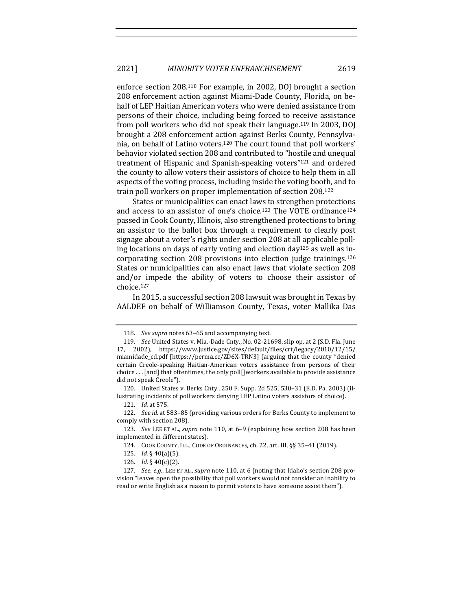enforce section 208.<sup>118</sup> For example, in 2002, DOJ brought a section 208 enforcement action against Miami-Dade County, Florida, on behalf of LEP Haitian American voters who were denied assistance from persons of their choice, including being forced to receive assistance from poll workers who did not speak their language.<sup>119</sup> In 2003, DOJ brought a 208 enforcement action against Berks County, Pennsylvania, on behalf of Latino voters.<sup>120</sup> The court found that poll workers' behavior violated section 208 and contributed to "hostile and unequal treatment of Hispanic and Spanish-speaking voters"<sup>121</sup> and ordered the county to allow voters their assistors of choice to help them in all aspects of the voting process, including inside the voting booth, and to train poll workers on proper implementation of section 208.<sup>122</sup>

States or municipalities can enact laws to strengthen protections and access to an assistor of one's choice.<sup>123</sup> The VOTE ordinance<sup>124</sup> passed in Cook County, Illinois, also strengthened protections to bring an assistor to the ballot box through a requirement to clearly post signage about a voter's rights under section 208 at all applicable polling locations on days of early voting and election day<sup>125</sup> as well as incorporating section 208 provisions into election judge trainings.<sup>126</sup> States or municipalities can also enact laws that violate section 208 and/or impede the ability of voters to choose their assistor of choice.127

In 2015, a successful section 208 lawsuit was brought in Texas by AALDEF on behalf of Williamson County, Texas, voter Mallika Das

<sup>118.</sup> *See supra* notes 63-65 and accompanying text.

<sup>119.</sup> *See* United States v. Mia.-Dade Cnty., No. 02-21698, slip op. at 2 (S.D. Fla. June 17, 2002), https://www.justice.gov/sites/default/files/crt/legacy/2010/12/15/ miamidade\_cd.pdf [https://perma.cc/ZD6X-TRN3] (arguing that the county "denied certain Creole-speaking Haitian-American voters assistance from persons of their choice . . . [and] that oftentimes, the only poll[]workers available to provide assistance did not speak Creole").

<sup>120.</sup> United States v. Berks Cnty., 250 F. Supp. 2d 525, 530–31 (E.D. Pa. 2003) (illustrating incidents of poll workers denying LEP Latino voters assistors of choice).

<sup>121.</sup> *Id.* at 575.

<sup>122.</sup> *See id.* at 583-85 (providing various orders for Berks County to implement to comply with section 208).

<sup>123.</sup> *See* LEE ET AL., *supra* note 110, at 6-9 (explaining how section 208 has been implemented in different states).

<sup>124.</sup> COOK COUNTY, ILL., CODE OF ORDINANCES, ch. 22, art. III, §§ 35-41 (2019).

<sup>125.</sup> *Id.* § 40(a)(5).

<sup>126.</sup> *Id.* § 40(c)(2).

<sup>127.</sup> *See, e.g.*, LEE ET AL., *supra* note 110, at 6 (noting that Idaho's section 208 provision "leaves open the possibility that poll workers would not consider an inability to read or write English as a reason to permit voters to have someone assist them").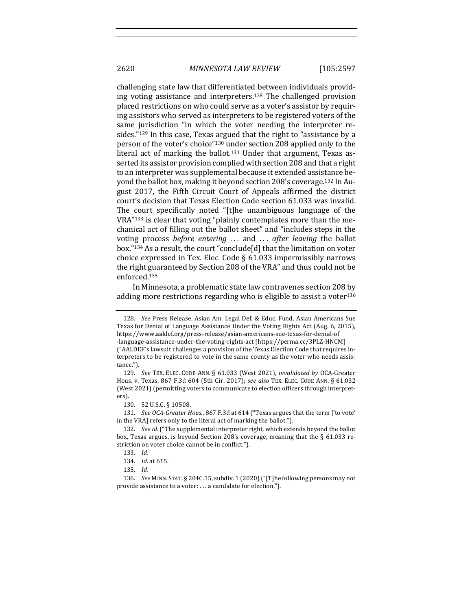challenging state law that differentiated between individuals providing voting assistance and interpreters.<sup>128</sup> The challenged provision placed restrictions on who could serve as a voter's assistor by requiring assistors who served as interpreters to be registered voters of the same jurisdiction "in which the voter needing the interpreter resides." $129$  In this case, Texas argued that the right to "assistance by a person of the voter's choice"<sup>130</sup> under section 208 applied only to the literal act of marking the ballot.<sup>131</sup> Under that argument, Texas asserted its assistor provision complied with section 208 and that a right to an interpreter was supplemental because it extended assistance beyond the ballot box, making it beyond section 208's coverage.<sup>132</sup> In August 2017, the Fifth Circuit Court of Appeals affirmed the district court's decision that Texas Election Code section 61.033 was invalid. The court specifically noted "[t]he unambiguous language of the VRA"<sup>133</sup> is clear that voting "plainly contemplates more than the mechanical act of filling out the ballot sheet" and "includes steps in the voting process *before entering* ... and ... *after leaving* the ballot box."<sup>134</sup> As a result, the court "conclude[d] that the limitation on voter choice expressed in Tex. Elec. Code  $\S$  61.033 impermissibly narrows the right guaranteed by Section 208 of the VRA" and thus could not be enforced.135

In Minnesota, a problematic state law contravenes section 208 by adding more restrictions regarding who is eligible to assist a voter $136$ 

131. *See OCA-Greater Hous.*, 867 F.3d at 614 ("Texas argues that the term ['to vote' in the VRA] refers only to the literal act of marking the ballot.").

<sup>128.</sup> *See* Press Release, Asian Am. Legal Def. & Educ. Fund, Asian Americans Sue Texas for Denial of Language Assistance Under the Voting Rights Act (Aug. 6, 2015), https://www.aaldef.org/press-release/asian-americans-sue-texas-for-denial-of -language-assistance-under-the-voting-rights-act [https://perma.cc/3PLZ-HNCM] ("AALDEF's lawsuit challenges a provision of the Texas Election Code that requires interpreters to be registered to vote in the same county as the voter who needs assistance.").

<sup>129.</sup> *See* TEX. ELEC. CODE ANN. § 61.033 (West 2021), *invalidated by* OCA-Greater Hous. v. Texas, 867 F.3d 604 (5th Cir. 2017); see also TEX. ELEC. CODE ANN. § 61.032 (West 2021) (permitting voters to communicate to election officers through interpreters).

<sup>130. 52</sup> U.S.C. § 10508.

<sup>132.</sup> *See id.* ("The supplemental interpreter right, which extends beyond the ballot box, Texas argues, is beyond Section 208's coverage, meaning that the  $\S$  61.033 restriction on voter choice cannot be in conflict.").

<sup>133.</sup> *Id.*

<sup>134.</sup> *Id.* at 615.

<sup>135.</sup> *Id.*

<sup>136.</sup> *See* MINN. STAT. § 204C.15, subdiv. 1 (2020) ("[T]he following persons may not provide assistance to a voter: . . . a candidate for election.").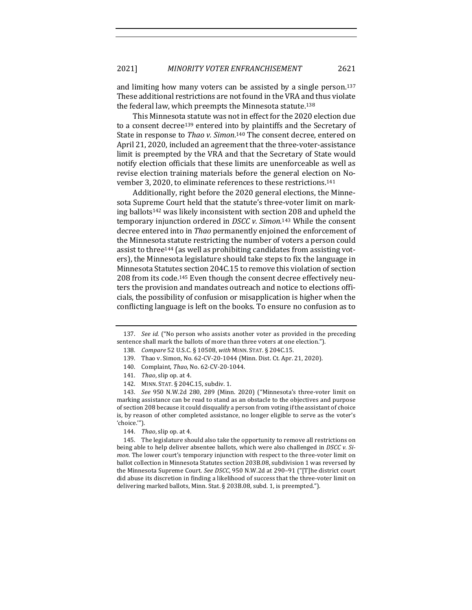and limiting how many voters can be assisted by a single person.<sup>137</sup> These additional restrictions are not found in the VRA and thus violate the federal law, which preempts the Minnesota statute.<sup>138</sup>

This Minnesota statute was not in effect for the 2020 election due to a consent decree<sup>139</sup> entered into by plaintiffs and the Secretary of State in response to Thao v. Simon.<sup>140</sup> The consent decree, entered on April 21, 2020, included an agreement that the three-voter-assistance limit is preempted by the VRA and that the Secretary of State would notify election officials that these limits are unenforceable as well as revise election training materials before the general election on November 3, 2020, to eliminate references to these restrictions.<sup>141</sup>

Additionally, right before the 2020 general elections, the Minnesota Supreme Court held that the statute's three-voter limit on marking ballots<sup>142</sup> was likely inconsistent with section 208 and upheld the temporary injunction ordered in *DSCC v. Simon*.<sup>143</sup> While the consent decree entered into in *Thao* permanently enjoined the enforcement of the Minnesota statute restricting the number of voters a person could assist to three<sup>144</sup> (as well as prohibiting candidates from assisting voters), the Minnesota legislature should take steps to fix the language in Minnesota Statutes section 204C.15 to remove this violation of section 208 from its code.<sup>145</sup> Even though the consent decree effectively neuters the provision and mandates outreach and notice to elections officials, the possibility of confusion or misapplication is higher when the conflicting language is left on the books. To ensure no confusion as to

<sup>137.</sup> *See id.* ("No person who assists another voter as provided in the preceding sentence shall mark the ballots of more than three voters at one election.").

<sup>138.</sup> *Compare* 52 U.S.C. § 10508, *with* MINN. STAT. § 204C.15.

<sup>139.</sup> Thao v. Simon, No. 62-CV-20-1044 (Minn. Dist. Ct. Apr. 21, 2020).

<sup>140.</sup> Complaint, *Thao*, No. 62-CV-20-1044.

<sup>141.</sup> *Thao*, slip op. at 4.

<sup>142.</sup> MINN. STAT. § 204C.15, subdiv. 1.

<sup>143.</sup> *See* 950 N.W.2d 280, 289 (Minn. 2020) ("Minnesota's three-voter limit on marking assistance can be read to stand as an obstacle to the objectives and purpose of section 208 because it could disqualify a person from voting if the assistant of choice is, by reason of other completed assistance, no longer eligible to serve as the voter's 'choice.'").

<sup>144.</sup> *Thao*, slip op. at 4.

<sup>145.</sup> The legislature should also take the opportunity to remove all restrictions on being able to help deliver absentee ballots, which were also challenged in *DSCC* v. Si*mon*. The lower court's temporary injunction with respect to the three-voter limit on ballot collection in Minnesota Statutes section 203B.08, subdivision 1 was reversed by the Minnesota Supreme Court. See DSCC, 950 N.W.2d at 290-91 ("[T]he district court did abuse its discretion in finding a likelihood of success that the three-voter limit on delivering marked ballots, Minn. Stat. § 203B.08, subd. 1, is preempted.").